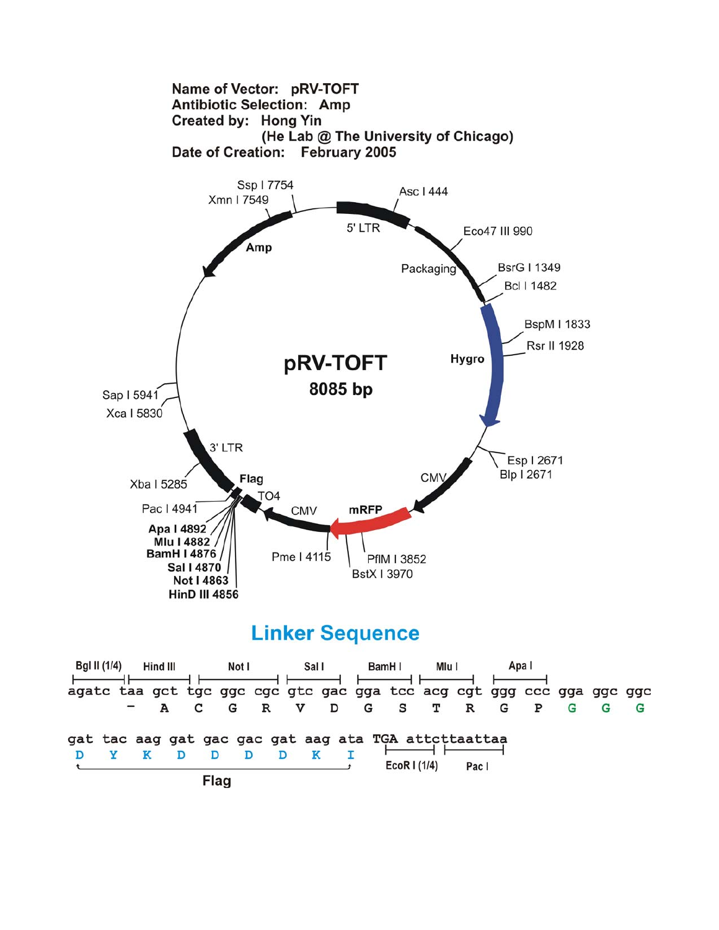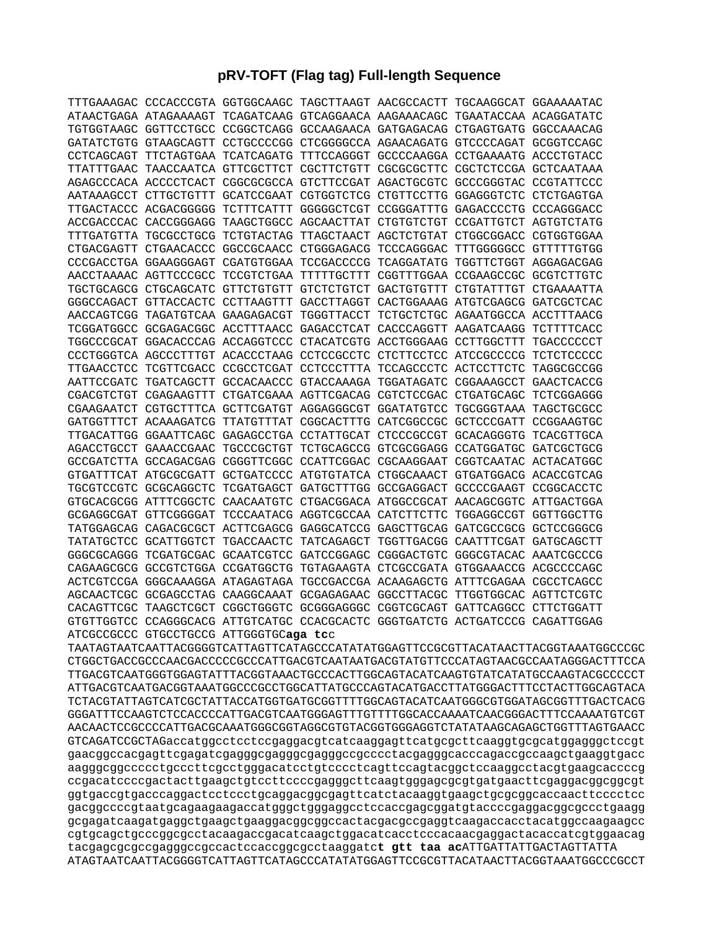## **pRV-TOFT (Flag tag) Full-length Sequence**

|            |            |                                        | TTTGAAAGAC CCCACCCGTA GGTGGCAAGC TAGCTTAAGT AACGCCACTT TGCAAGGCAT GGAAAAATAC |  |  |
|------------|------------|----------------------------------------|------------------------------------------------------------------------------|--|--|
|            |            |                                        | ATAACTGAGA ATAGAAAAGT TCAGATCAAG GTCAGGAACA AAGAAACAGC TGAATACCAA ACAGGATATC |  |  |
|            |            |                                        | TGTGGTAAGC GGTTCCTGCC CCGGCTCAGG GCCAAGAACA GATGAGACAG CTGAGTGATG GGCCAAACAG |  |  |
|            |            |                                        | GATATCTGTG GTAAGCAGTT CCTGCCCCGG CTCGGGGCCA AGAACAGATG GTCCCCAGAT GCGGTCCAGC |  |  |
|            |            |                                        | CCTCAGCAGT TTCTAGTGAA TCATCAGATG TTTCCAGGGT GCCCCAAGGA CCTGAAAATG ACCCTGTACC |  |  |
|            |            |                                        | TTATTTGAAC TAACCAATCA GTTCGCTTCT CGCTTCTGTT CGCGCGCTTC CGCTCTCCGA GCTCAATAAA |  |  |
|            |            |                                        | AGAGCCCACA ACCCCTCACT CGGCGCGCCA GTCTTCCGAT AGACTGCGTC GCCCGGGTAC CCGTATTCCC |  |  |
|            |            |                                        | AATAAAGCCT CTTGCTGTTT GCATCCGAAT CGTGGTCTCG CTGTTCCTTG GGAGGGTCTC CTCTGAGTGA |  |  |
|            |            |                                        | TTGACTACCC ACGACGGGGG TCTTTCATTT GGGGGCTCGT CCGGGATTTG GAGACCCCTG CCCAGGGACC |  |  |
|            |            |                                        | ACCGACCCAC CACCGGGAGG TAAGCTGGCC AGCAACTTAT CTGTGTCTGT CCGATTGTCT AGTGTCTATG |  |  |
|            |            |                                        | TTTGATGTTA TGCGCCTGCG TCTGTACTAG TTAGCTAACT AGCTCTGTAT CTGGCGGACC CGTGGTGGAA |  |  |
|            |            |                                        | CTGACGAGTT CTGAACACCC GGCCGCAACC CTGGGAGACG TCCCAGGGAC TTTGGGGGCC GTTTTTGTGG |  |  |
|            |            |                                        | CCCGACCTGA GGAAGGGAGT CGATGTGGAA TCCGACCCCG TCAGGATATG TGGTTCTGGT AGGAGACGAG |  |  |
|            |            |                                        | AACCTAAAAC AGTTCCCGCC TCCGTCTGAA TTTTTGCTTT CGGTTTGGAA CCGAAGCCGC GCGTCTTGTC |  |  |
|            |            |                                        | TGCTGCAGCG CTGCAGCATC GTTCTGTGTT GTCTCTGTCT GACTGTGTTT CTGTATTTGT CTGAAAATTA |  |  |
|            |            |                                        | GGGCCAGACT GTTACCACTC CCTTAAGTTT GACCTTAGGT CACTGGAAAG ATGTCGAGCG GATCGCTCAC |  |  |
|            |            |                                        |                                                                              |  |  |
|            |            |                                        | TCGGATGGCC GCGAGACGGC ACCTTTAACC GAGACCTCAT CACCCAGGTT AAGATCAAGG TCTTTTCACC |  |  |
|            |            |                                        | TGGCCCGCAT GGACACCCAG ACCAGGTCCC CTACATCGTG ACCTGGGAAG CCTTGGCTTT TGACCCCCCT |  |  |
|            |            |                                        | CCCTGGGTCA AGCCCTTTGT ACACCCTAAG CCTCCGCCTC CTCTTCCTCC ATCCGCCCCG TCTCTCCCCC |  |  |
|            |            |                                        | TTGAACCTCC TCGTTCGACC CCGCCTCGAT CCTCCCTTTA TCCAGCCCTC ACTCCTTCTC TAGGCGCCGG |  |  |
|            |            |                                        | AATTCCGATC TGATCAGCTT GCCACAACCC GTACCAAAGA TGGATAGATC CGGAAAGCCT GAACTCACCG |  |  |
|            |            |                                        | CGACGTCTGT CGAGAAGTTT CTGATCGAAA AGTTCGACAG CGTCTCCGAC CTGATGCAGC TCTCGGAGGG |  |  |
|            |            |                                        | CGAAGAATCT CGTGCTTTCA GCTTCGATGT AGGAGGGCGT GGATATGTCC TGCGGGTAAA TAGCTGCGCC |  |  |
|            |            |                                        | GATGGTTTCT ACAAAGATCG TTATGTTTAT CGGCACTTTG CATCGGCCGC GCTCCCGATT CCGGAAGTGC |  |  |
|            |            |                                        | TTGACATTGG GGAATTCAGC GAGAGCCTGA CCTATTGCAT CTCCCGCCGT GCACAGGGTG TCACGTTGCA |  |  |
|            |            |                                        | AGACCTGCCT GAAACCGAAC TGCCCGCTGT TCTGCAGCCG GTCGCGGAGG CCATGGATGC GATCGCTGCG |  |  |
|            |            |                                        | GCCGATCTTA GCCAGACGAG CGGGTTCGGC CCATTCGGAC CGCAAGGAAT CGGTCAATAC ACTACATGGC |  |  |
|            |            |                                        | GTGATTTCAT ATGCGCGATT GCTGATCCCC ATGTGTATCA CTGGCAAACT GTGATGGACG ACACCGTCAG |  |  |
|            |            |                                        | TGCGTCCGTC GCGCAGGCTC TCGATGAGCT GATGCTTTGG GCCGAGGACT GCCCCGAAGT CCGGCACCTC |  |  |
|            |            |                                        | GTGCACGCGG ATTTCGGCTC CAACAATGTC CTGACGGACA ATGGCCGCAT AACAGCGGTC ATTGACTGGA |  |  |
|            |            |                                        | GCGAGGCGAT GTTCGGGGAT TCCCAATACG AGGTCGCCAA CATCTTCTTC TGGAGGCCGT GGTTGGCTTG |  |  |
|            |            |                                        | TATGGAGCAG CAGACGCGCT ACTTCGAGCG GAGGCATCCG GAGCTTGCAG GATCGCCGCG GCTCCGGGCG |  |  |
|            |            |                                        | TATATGCTCC GCATTGGTCT TGACCAACTC TATCAGAGCT TGGTTGACGG CAATTTCGAT GATGCAGCTT |  |  |
|            |            |                                        | GGGCGCAGGG TCGATGCGAC GCAATCGTCC GATCCGGAGC CGGGACTGTC GGGCGTACAC AAATCGCCCG |  |  |
|            |            |                                        | CAGAAGCGCG GCCGTCTGGA CCGATGGCTG TGTAGAAGTA CTCGCCGATA GTGGAAACCG ACGCCCCAGC |  |  |
|            |            |                                        | ACTCGTCCGA GGGCAAAGGA ATAGAGTAGA TGCCGACCGA ACAAGAGCTG ATTTCGAGAA CGCCTCAGCC |  |  |
|            |            |                                        | AGCAACTCGC GCGAGCCTAG CAAGGCAAAT GCGAGAGAAC GGCCTTACGC TTGGTGGCAC AGTTCTCGTC |  |  |
| CACAGTTCGC | TAAGCTCGCT |                                        | CGGCTGGGTC GCGGGAGGGC CGGTCGCAGT GATTCAGGCC CTTCTGGATT                       |  |  |
|            |            |                                        | GTGTTGGTCC CCAGGGCACG ATTGTCATGC CCACGCACTC GGGTGATCTG ACTGATCCCG CAGATTGGAG |  |  |
|            |            | ATCGCCGCCC GTGCCTGCCG ATTGGGTGCaga tcc |                                                                              |  |  |

TAATAGTAATCAATTACGGGGTCATTAGTTCATAGCCCATATATGGAGTTCCGCGTTACATAACTTACGGTAAATGGCCCGC CTGGCTGACCGCCCAACGACCCCCGCCCATTGACGTCAATAATGACGTATGTTCCCATAGTAACGCCAATAGGGACTTTCCA TTGACGTCAATGGGTGGAGTATTTACGGTAAACTGCCCACTTGGCAGTACATCAAGTGTATCATATGCCAAGTACGCCCCCT ATTGACGTCAATGACGGTAAATGGCCCGCCTGGCATTATGCCCAGTACATGACCTTATGGGACTTTCCTACTTGGCAGTACA TCTACGTATTAGTCATCGCTATTACCATGGTGATGCGGTTTTGGCAGTACATCAATGGGCGTGGATAGCGGTTTGACTCACG GGGATTTCCAAGTCTCCACCCCATTGACGTCAATGGGAGTTTGTTTTGGCACCAAAATCAACGGGACTTTCCAAAATGTCGT AACAACTCCGCCCCATTGACGCAAATGGGCGGTAGGCGTGTACGGTGGGAGGTCTATATAAGCAGAGCTGGTTTAGTGAACC GTCAGATCCGCTAGaccatggcctcctccgaggacgtcatcaaggagttcatgcgcttcaaggtgcgcatggagggctccgt gaacggccacgagttcgagatcgagggcgagggcgagggccgcccctacgagggcacccagaccgccaagctgaaggtgacc aagggcggccccctgcccttcgcctgggacatcctgtcccctcagttccagtacggctccaaggcctacgtgaagcaccccg ccgacatccccgactacttgaagctgtccttccccgagggcttcaagtgggagcgcgtgatgaacttcgaggacggcggcgt ggtgaccgtgacccaggactcctccctgcaggacggcgagttcatctacaaggtgaagctgcgcggcaccaacttcccctcc gacggccccgtaatgcagaagaagaccatgggctgggaggcctccaccgagcggatgtaccccgaggacggcgccctgaagg gcgagatcaagatgaggctgaagctgaaggacggcggccactacgacgccgaggtcaagaccacctacatggccaagaagcc cgtgcagctgcccggcgcctacaagaccgacatcaagctggacatcacctcccacaacgaggactacaccatcgtggaacag tacgagcgcgccgagggccgccactccaccggcgcctaaggatc**t gtt taa ac**ATTGATTATTGACTAGTTATTA ATAGTAATCAATTACGGGGTCATTAGTTCATAGCCCATATATGGAGTTCCGCGTTACATAACTTACGGTAAATGGCCCGCCT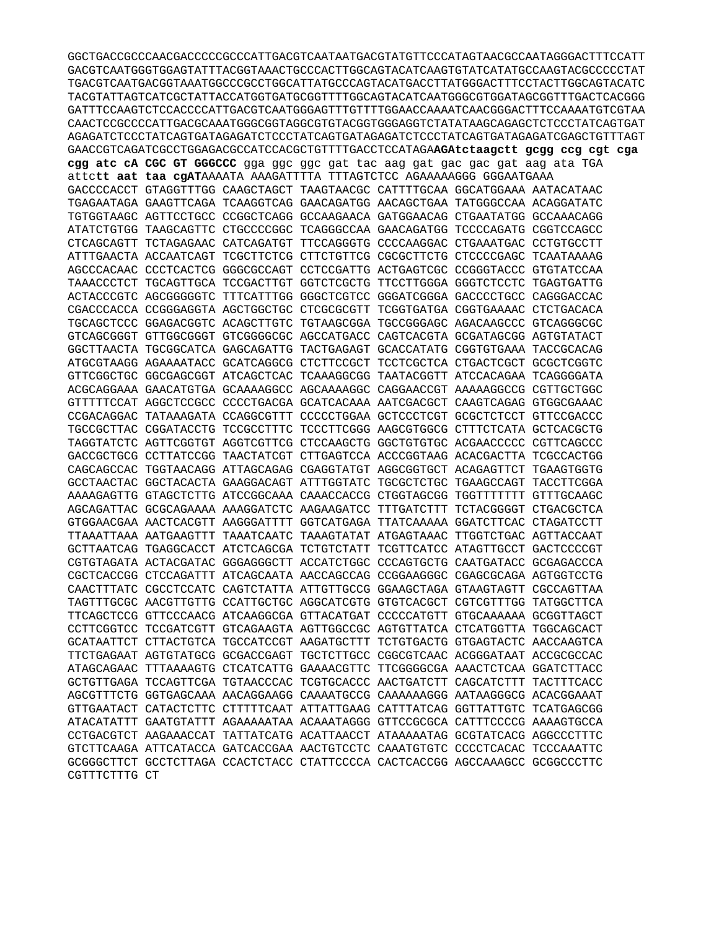GGCTGACCGCCCAACGACCCCCGCCCATTGACGTCAATAATGACGTATGTTCCCATAGTAACGCCAATAGGGACTTTCCATT GACGTCAATGGGTGGAGTATTTACGGTAAACTGCCCACTTGGCAGTACATCAAGTGTATCATATGCCAAGTACGCCCCCTAT TGACGTCAATGACGGTAAATGGCCCGCCTGGCATTATGCCCAGTACATGACCTTATGGGACTTTCCTACTTGGCAGTACATC TACGTATTAGTCATCGCTATTACCATGGTGATGCGGTTTTGGCAGTACATCAATGGGCGTGGATAGCGGTTTGACTCACGGG CAACTCCGCCCCATTGACGCAAATGGGCGGTAGGCGTGTACGGTGGAGGTCTATATAAGCAGAGCTCTCCCTATCAGTGAT AGAGATCTCCCTATCAGTGATAGAGATCTCCCTATCAGTGATAGAGATCTCCCTATCAGTGATAGAGATCTCCTATCAGTGTTTAGT GAACCGTCAGATCGCCTGGAGACGCCATCCACGCTGTTTTGACCTCCATAGAAGAtctaagctt gcgg ccg cgt cga cgg atc cA CGC GT GGGCCC gga ggc ggc gat tac aag gat gac gac gat aag ata TGA attett aat taa cgATAAAATA AAAGATTTTA TTTAGTCTCC AGAAAAAGGG GGGAATGAAA GACCCCACCT GTAGGTTTGG CAAGCTAGCT TAAGTAACGC CATTTTGCAA GGCATGGAAA AATACATAAC TGAGAATAGA GAAGTTCAGA TCAAGGTCAG GAACAGATGG AACAGCTGAA TATGGGCCAA ACAGGATATC TGTGGTAAGC AGTTCCTGCC CCGGCTCAGG GCCAAGAACA GATGGAACAG CTGAATATGG GCCAAACAGG ATATCTGTGG TAAGCAGTTC CTGCCCCGGC TCAGGGCCAA GAACAGATGG TCCCCAGATG CGGTCCAGCC CTCAGCAGTT TCTAGAGAAC CATCAGATGT TTCCAGGGTG CCCCAAGGAC CTGAAATGAC CCTGTGCCTT ATTTGAACTA ACCAATCAGT TCGCTTCTCG CTTCTGTTCG CGCGCTTCTG CTCCCCGAGC TCAATAAAAG AGCCCACAAC CCCTCACTCG GGGCGCCAGT CCTCCGATTG ACTGAGTCGC CCGGGTACCC GTGTATCCAA TAAACCCTCT TGCAGTTGCA TCCGACTTGT GGTCTCGCTG TTCCTTGGGA GGGTCTCCTC TGAGTGATTG ACTACCCGTC AGCGGGGGTC TTTCATTTGG GGGCTCGTCC GGGATCGGGA GACCCCTGCC CAGGGACCAC CGACCCACCA CCGGGAGGTA AGCTGGCTGC CTCGCGCGTT TCGGTGATGA CGGTGAAAAC CTCTGACACA TGCAGCTCCC GGAGACGGTC ACAGCTTGTC TGTAAGCGGA TGCCGGGAGC AGACAAGCCC GTCAGGGCGC GTCAGCGGGT GTTGGCGGGT GTCGGGGCGC AGCCATGACC CAGTCACGTA GCGATAGCGG AGTGTATACT GGCTTAACTA TGCGGCATCA GAGCAGATTG TACTGAGAGT GCACCATATG CGGTGTGAAA TACCGCACAG ATGCGTAAGG AGAAAATACC GCATCAGGCG CTCTTCCGCT TCCTCGCTCA CTGACTCGCT GCGCTCGGTC GTTCGGCTGC GGCGAGCGGT ATCAGCTCAC TCAAAGGCGG TAATACGGTT ATCCACAGAA TCAGGGGATA ACGCAGGAAA GAACATGTGA GCAAAAGGCC AGCAAAAGGC CAGGAACCGT AAAAAGGCCG CGTTGCTGGC GTTTTTCCAT AGGCTCCGCC CCCCTGACGA GCATCACAAA AATCGACGCT CAAGTCAGAG GTGGCGAAAC CCGACAGGAC TATAAAGATA CCAGGCGTTT CCCCCTGGAA GCTCCCTCGT GCGCTCTCCT GTTCCGACCC TGCCGCTTAC CGGATACCTG TCCGCCTTTC TCCCTTCGGG AAGCGTGGCG CTTTCTCATA GCTCACGCTG TAGGTATCTC AGTTCGGTGT AGGTCGTTCG CTCCAAGCTG GGCTGTGTGC ACGAACCCCC CGTTCAGCCC GACCGCTGCG CCTTATCCGG TAACTATCGT CTTGAGTCCA ACCCGGTAAG ACACGACTTA TCGCCACTGG CAGCAGCCAC TGGTAACAGG ATTAGCAGAG CGAGGTATGT AGGCGGTGCT ACAGAGTTCT TGAAGTGGTG GCCTAACTAC GGCTACACTA GAAGGACAGT ATTTGGTATC TGCGCTCTGC TGAAGCCAGT TACCTTCGGA AAAGAGTTG GTAGCTCTTG ATCCGGCAAA CAAACCACCG CTGGTAGCGG TGGTTTTTTT GTTTGCAAGC AGCAGATTAC GCGCAGAAAA AAAGGATCTC AAGAAGATCC TTTGATCTTT TCTACGGGGT CTGACGCTCA GTGGAACGAA AACTCACGTT AAGGGATTTT GGTCATGAGA TTATCAAAAA GGATCTTCAC CTAGATCCTT TTAAATTAAA AATGAAGTTT TAAATCAATC TAAAGTATAT ATGAGTAAAC TTGGTCTGAC AGTTACCAAT GCTTAATCAG TGAGGCACCT ATCTCAGCGA TCTGTCTATT TCGTTCATCC ATAGTTGCCT GACTCCCCGT CGTGTAGATA ACTACGATAC GGGAGGGCTT ACCATCTGGC CCCAGTGCTG CAATGATACC GCGAGACCCA CGCTCACCGG CTCCAGATTT ATCAGCAATA AACCAGCCAG CCGGAAGGGC CGAGCGCAGA AGTGGTCCTG CAACTTTATC CGCCTCCATC CAGTCTATTA ATTGTTGCCG GGAAGCTAGA GTAAGTAGTT CGCCAGTTAA TAGTTTGCGC AACGTTGTTG CCATTGCTGC AGGCATCGTG GTGTCACGCT CGTCGTTTGG TATGGCTTCA TTCAGCTCCG GTTCCCAACG ATCAAGGCGA GTTACATGAT CCCCCATGTT GTGCAAAAAA GCGGTTAGCT CCTTCGGTCC TCCGATCGTT GTCAGAAGTA AGTTGGCCGC AGTGTTATCA CTCATGGTTA TGGCAGCACT GCATAATTCT CTTACTGTCA TGCCATCCGT AAGATGCTTT TCTGTGACTG GTGAGTACTC AACCAAGTCA TTCTGAGAAT AGTGTATGCG GCGACCGAGT TGCTCTTGCC CGGCGTCAAC ACGGGATAAT ACCGCGCCAC ATAGCAGAAC TTTAAAAGTG CTCATCATTG GAAAACGTTC TTCGGGGCGA AAACTCTCAA GGATCTTACC GCTGTTGAGA TCCAGTTCGA TGTAACCCAC TCGTGCACCC AACTGATCTT CAGCATCTTT TACTTTCACC AGCGTTTCTG GGTGAGCAAA AACAGGAAGG CAAAATGCCG CAAAAAAGGG AATAAGGGCG ACACGGAAAT GTTGAATACT CATACTCTTC CTTTTTCAAT ATTATTGAAG CATTTATCAG GGTTATTGTC TCATGAGCGG ATACATATTT GAATGTATTT AGAAAAATAA ACAAATAGGG GTTCCGCGCA CATTTCCCCG AAAAGTGCCA CCTGACGTCT AAGAAACCAT TATTATCATG ACATTAACCT ATAAAAATAG GCGTATCACG AGGCCCTTTC GTCTTCAAGA ATTCATACCA GATCACCGAA AACTGTCCTC CAAATGTGTC CCCCTCACAC TCCCAAATTC GCGGGCTTCT GCCTCTTAGA CCACTCTACC CTATTCCCCA CACTCACCGG AGCCAAAGCC GCGGCCCTTC CGTTTCTTTG CT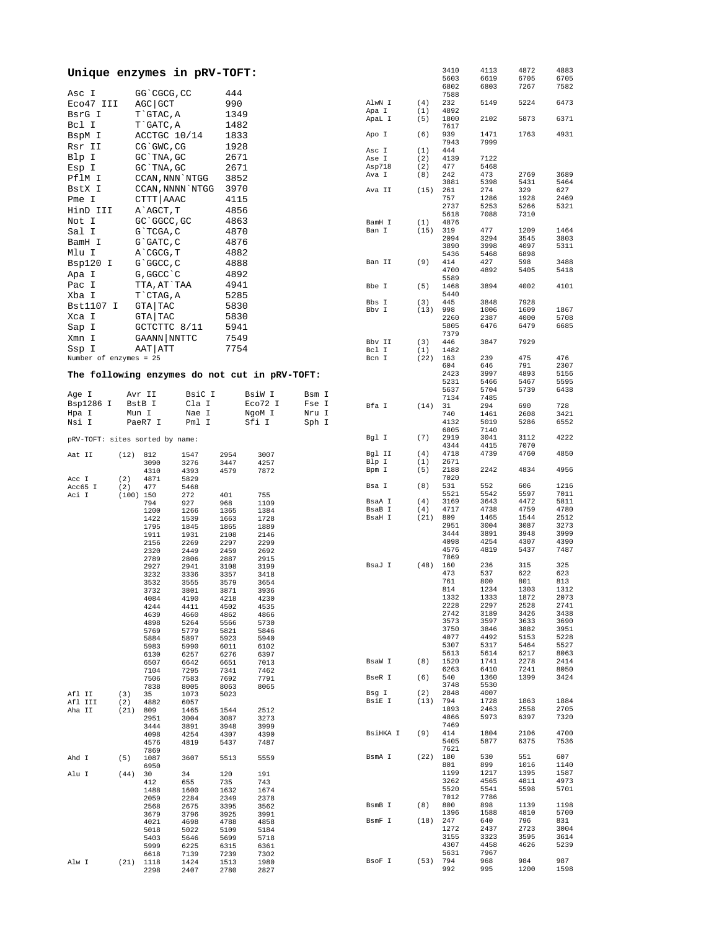| Unique enzymes in pRV-TOFT:                   |             |                  |              |              |              |       |                  |             | 3410<br>5603 | 4113<br>6619 | 4872<br>6705 | 4883<br>6705 |
|-----------------------------------------------|-------------|------------------|--------------|--------------|--------------|-------|------------------|-------------|--------------|--------------|--------------|--------------|
|                                               |             |                  |              |              |              |       |                  |             | 6802         | 6803         | 7267         | 7582         |
| Asc I                                         |             | GG`CGCG, CC      |              | 444          |              |       |                  |             | 7588         |              |              |              |
| Eco47 III                                     |             | AGC GCT          |              | 990          |              |       | AlwN I<br>Apa I  | (4)<br>(1)  | 232<br>4892  | 5149         | 5224         | 6473         |
| BsrG I                                        |             | T`GTAC, A        |              | 1349         |              |       | ApaL I           | (5)         | 1800         | 2102         | 5873         | 6371         |
| Bcl I                                         |             | T GATC, A        |              | 1482         |              |       |                  |             | 7617         |              |              |              |
| BspM I                                        |             | ACCTGC 10/14     |              | 1833         |              |       | Apo I            | (6)         | 939          | 1471         | 1763         | 4931         |
| Rsr II                                        |             | CG`GWC, CG       |              | 1928         |              |       |                  |             | 7943         | 7999         |              |              |
| Blp I                                         |             | GC `TNA, GC      |              | 2671         |              |       | Asc I<br>Ase I   | (1)<br>(2)  | 444<br>4139  | 7122         |              |              |
| Esp I                                         |             | GC TNA, GC       |              | 2671         |              |       | Asp718           | (2)         | 477          | 5468         |              |              |
|                                               |             |                  |              |              |              |       | Ava I            | (8)         | 242          | 473          | 2769         | 3689         |
| PflM I                                        |             | CCAN, NNN `NTGG  |              | 3852         |              |       |                  |             | 3881         | 5398         | 5431         | 5464         |
| BstX I                                        |             | CCAN, NNNN `NTGG |              | 3970         |              |       | Ava II           | (15)        | 261          | 274          | 329          | 627          |
| Pme I                                         |             | CTTT   AAAC      |              | 4115         |              |       |                  |             | 757<br>2737  | 1286<br>5253 | 1928<br>5266 | 2469<br>5321 |
| HinD III                                      |             | A`AGCT, T        |              | 4856         |              |       |                  |             | 5618         | 7088         | 7310         |              |
| Not I                                         |             | GC `GGCC, GC     |              | 4863         |              |       | BamH I           | (1)         | 4876         |              |              |              |
| Sal I                                         |             | $G$ TCGA, C      |              | 4870         |              |       | Ban I            | (15)        | 319          | 477          | 1209         | 1464         |
| BamH I                                        |             | G`GATC, C        |              | 4876         |              |       |                  |             | 2094         | 3294         | 3545         | 3803         |
| Mlu I                                         |             | A CGCG, T        |              | 4882         |              |       |                  |             | 3890<br>5436 | 3998<br>5468 | 4097<br>6898 | 5311         |
| Bsp120 I                                      |             | G`GGCC, C        |              | 4888         |              |       | Ban II           | (9)         | 414          | 427          | 598          | 3488         |
|                                               |             |                  |              |              |              |       |                  |             | 4700         | 4892         | 5405         | 5418         |
| Apa I                                         |             | G, GGCC `C       |              | 4892         |              |       |                  |             | 5589         |              |              |              |
| Pac I                                         |             | TTA, AT`TAA      |              | 4941         |              |       | Bbe I            | (5)         | 1468         | 3894         | 4002         | 4101         |
| Xba I                                         |             | T`CTAG, A        |              | 5285         |              |       | Bbs I            |             | 5440         |              |              |              |
| Bst1107 I                                     |             | GTA TAC          |              | 5830         |              |       | Bby I            | (3)<br>(13) | 445<br>998   | 3848<br>1006 | 7928<br>1609 | 1867         |
| Xca I                                         |             | GTA TAC          |              | 5830         |              |       |                  |             | 2260         | 2387         | 4000         | 5708         |
| Sap I                                         |             | GCTCTTC 8/11     |              | 5941         |              |       |                  |             | 5805         | 6476         | 6479         | 6685         |
| Xmn I                                         |             | GAANN NNTTC      |              | 7549         |              |       |                  |             | 7379         |              |              |              |
|                                               |             |                  |              |              |              |       | Bbv II           | (3)         | 446          | 3847         | 7929         |              |
| Ssp I                                         |             | AAT   ATT        |              | 7754         |              |       | Bcl I            | (1)         | 1482         |              |              |              |
| Number of enzymes = 25                        |             |                  |              |              |              |       | Bcn I            | (22)        | 163<br>604   | 239<br>646   | 475<br>791   | 476<br>2307  |
| The following enzymes do not cut in pRV-TOFT: |             |                  |              |              |              |       |                  |             | 2423         | 3997         | 4893         | 5156         |
|                                               |             |                  |              |              |              |       |                  |             | 5231         | 5466         | 5467         | 5595         |
| Age I                                         |             | Avr II           | BsiC I       |              | BsiW I       | Bsm I |                  |             | 5637         | 5704         | 5739         | 6438         |
| Bsp1286 I                                     |             | BstB I           | Cla I        |              | Eco72 I      | Fse I |                  |             | 7134         | 7485         |              |              |
| Hpa I                                         | Mun I       |                  | Nae I        |              | NgoM I       | Nru I | Bfa I            | (14)        | 31<br>740    | 294<br>1461  | 690<br>2608  | 728<br>3421  |
| Nsi I                                         |             | PaeR7 I          | Pml I        |              | Sfi I        | Sph I |                  |             | 4132         | 5019         | 5286         | 6552         |
|                                               |             |                  |              |              |              |       |                  |             | 6805         | 7140         |              |              |
| pRV-TOFT: sites sorted by name:               |             |                  |              |              |              |       | Bgl I            | (7)         | 2919         | 3041         | 3112         | 4222         |
|                                               |             |                  |              |              |              |       |                  |             | 4344         | 4415         | 7070         |              |
| Aat II                                        | (12) 812    |                  | 1547         | 2954         | 3007         |       | Bgl II           | (4)         | 4718         | 4739         | 4760         | 4850         |
|                                               |             | 3090             | 3276         | 3447         | 4257         |       | Blp I<br>Bpm I   | (1)<br>(5)  | 2671<br>2188 | 2242         | 4834         | 4956         |
| Acc I                                         | (2)         | 4310<br>4871     | 4393<br>5829 | 4579         | 7872         |       |                  |             | 7020         |              |              |              |
| Acc65 I                                       | (2)         | 477              | 5468         |              |              |       | Bsa I            | (8)         | 531          | 552          | 606          | 1216         |
| Aci I                                         | $(100)$ 150 |                  | 272          | 401          | 755          |       |                  |             | 5521         | 5542         | 5597         | 7011         |
|                                               |             | 794              | 927          | 968          | 1109         |       | BsaA I           | (4)         | 3169         | 3643         | 4472         | 5811         |
|                                               |             | 1200             | 1266         | 1365         | 1384         |       | BsaB I<br>BsaH I | (4)<br>(21) | 4717<br>809  | 4738<br>1465 | 4759<br>1544 | 4780<br>2512 |
|                                               |             | 1422<br>1795     | 1539<br>1845 | 1663<br>1865 | 1728<br>1889 |       |                  |             | 2951         | 3004         | 3087         | 3273         |
|                                               |             | 1911             | 1931         | 2108         | 2146         |       |                  |             | 3444         | 3891         | 3948         | 3999         |
|                                               |             | 2156             | 2269         | 2297         | 2299         |       |                  |             | 4098         | 4254         | 4307         | 4390         |
|                                               |             | 2320             | 2449         | 2459         | 2692         |       |                  |             | 4576         | 4819         | 5437         | 7487         |
|                                               |             | 2789             | 2806         | 2887         | 2915         |       | BsaJ I           | (48)        | 7869<br>160  | 236          | 315          | 325          |
|                                               |             | 2927<br>3232     | 2941<br>3336 | 3108<br>3357 | 3199<br>3418 |       |                  |             | 473          | 537          | 622          | 623          |
|                                               |             | 3532             | 3555         | 3579         | 3654         |       |                  |             | 761          | 800          | 801          | 813          |
|                                               |             | 3732             | 3801         | 3871         | 3936         |       |                  |             | 814          | 1234         | 1303         | 1312         |
|                                               |             | 4084             | 4190         | 4218         | 4230         |       |                  |             | 1332         | 1333         | 1872         | 2073         |
|                                               |             | 4244             | 4411         | 4502         | 4535         |       |                  |             | 2228         | 2297         | 2528         | 2741         |
|                                               |             | 4639             | 4660         | 4862         | 4866         |       |                  |             | 2742<br>3573 | 3189<br>3597 | 3426<br>3633 | 3438<br>3690 |
|                                               |             | 4898<br>5769     | 5264<br>5779 | 5566<br>5821 | 5730<br>5846 |       |                  |             | 3750         | 3846         | 3882         | 3951         |
|                                               |             | 5884             | 5897         | 5923         | 5940         |       |                  |             | 4077         | 4492         | 5153         | 5228         |
|                                               |             | 5983             | 5990         | 6011         | 6102         |       |                  |             | 5307         | 5317         | 5464         | 5527         |
|                                               |             | 6130             | 6257         | 6276         | 6397         |       |                  |             | 5613         | 5614         | 6217         | 8063         |
|                                               |             | 6507             | 6642         | 6651         | 7013         |       | BsaW I           | (8)         | 1520<br>6263 | 1741<br>6410 | 2278<br>7241 | 2414<br>8050 |
|                                               |             | 7104<br>7506     | 7295<br>7583 | 7341<br>7692 | 7462<br>7791 |       | BseR I           | (6)         | 540          | 1360         | 1399         | 3424         |
|                                               |             | 7838             | 8005         | 8063         | 8065         |       |                  |             | 3748         | 5530         |              |              |
| Afl II                                        | (3)         | 35               | 1073         | 5023         |              |       | Bsg I            | (2)         | 2848         | 4007         |              |              |
| Afl III                                       | (2)         | 4882             | 6057         |              |              |       | BsiE I           | (13)        | 794          | 1728         | 1863         | 1884         |
| Aha II                                        | (21)        | 809              | 1465         | 1544         | 2512         |       |                  |             | 1893         | 2463         | 2558         | 2705         |
|                                               |             | 2951<br>3444     | 3004         | 3087         | 3273<br>3999 |       |                  |             | 4866<br>7469 | 5973         | 6397         | 7320         |
|                                               |             | 4098             | 3891<br>4254 | 3948<br>4307 | 4390         |       | BsiHKA I         | (9)         | 414          | 1804         | 2106         | 4700         |
|                                               |             | 4576             | 4819         | 5437         | 7487         |       |                  |             | 5405         | 5877         | 6375         | 7536         |
|                                               |             | 7869             |              |              |              |       |                  |             | 7621         |              |              |              |
| Ahd I                                         | (5)         | 1087             | 3607         | 5513         | 5559         |       | BsmA I           | (22)        | 180          | 530          | 551          | 607          |
|                                               |             | 6950             |              |              |              |       |                  |             | 801<br>1199  | 899<br>1217  | 1016<br>1395 | 1140<br>1587 |
| Alu I                                         | (44)        | 30<br>412        | 34<br>655    | 120<br>735   | 191<br>743   |       |                  |             | 3262         | 4565         | 4811         | 4973         |
|                                               |             | 1488             | 1600         | 1632         | 1674         |       |                  |             | 5520         | 5541         | 5598         | 5701         |
|                                               |             | 2059             | 2284         | 2349         | 2378         |       |                  |             | 7012         | 7786         |              |              |
|                                               |             | 2568             | 2675         | 3395         | 3562         |       | BsmB I           | (8)         | 800          | 898          | 1139         | 1198         |
|                                               |             | 3679             | 3796         | 3925         | 3991         |       | BsmF I           | (18)        | 1396<br>247  | 1588<br>640  | 4810<br>796  | 5700<br>831  |
|                                               |             | 4021<br>5018     | 4698<br>5022 | 4788<br>5109 | 4858<br>5184 |       |                  |             | 1272         | 2437         | 2723         | 3004         |
|                                               |             | 5403             | 5646         | 5699         | 5718         |       |                  |             | 3155         | 3323         | 3595         | 3614         |
|                                               |             | 5999             | 6225         | 6315         | 6361         |       |                  |             | 4307         | 4458         | 4626         | 5239         |
|                                               |             | 6618             | 7139         | 7239         | 7302         |       |                  |             | 5631         | 7967         |              |              |
| Alw I                                         | (21)        | 1118             | 1424<br>2407 | 1513         | 1980<br>2827 |       | BsoF I           | (53)        | 794<br>992   | 968<br>995   | 984<br>1200  | 987<br>1598  |
|                                               |             | 2298             |              | 2780         |              |       |                  |             |              |              |              |              |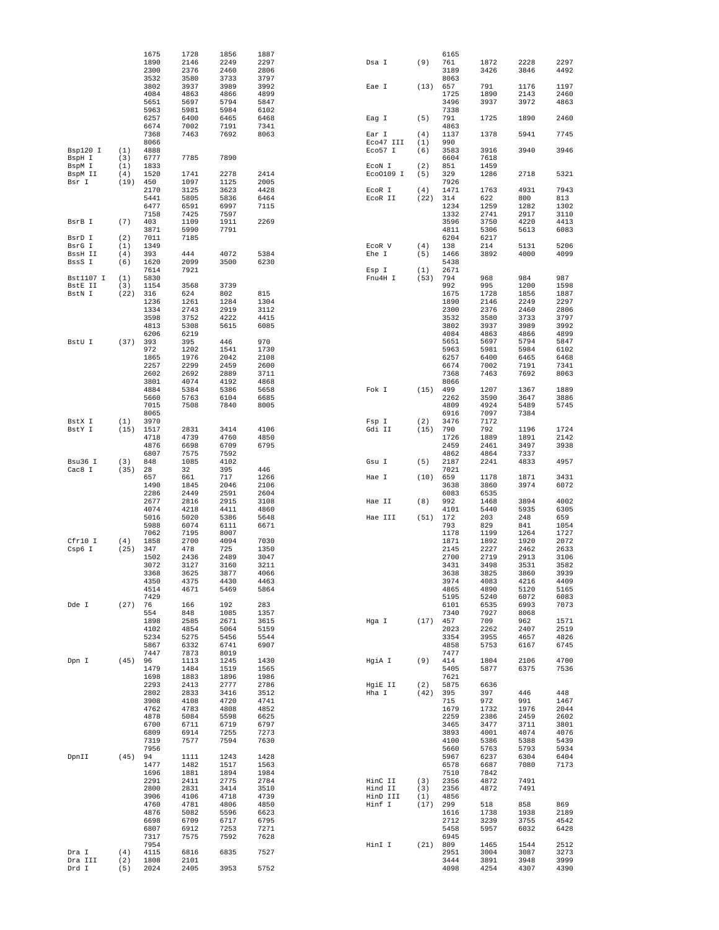|                   |             | 1675         | 1728         | 1856         | 1887         |           |      | 6165         |              |              |              |
|-------------------|-------------|--------------|--------------|--------------|--------------|-----------|------|--------------|--------------|--------------|--------------|
|                   |             | 1890<br>2300 | 2146<br>2376 | 2249<br>2460 | 2297<br>2806 | Dsa I     | (9)  | 761<br>3189  | 1872<br>3426 | 2228         | 2297<br>4492 |
|                   |             | 3532         | 3580         | 3733         | 3797         |           |      | 8063         |              | 3846         |              |
|                   |             | 3802         | 3937         | 3989         | 3992         | Eae I     | (13) | 657          | 791          | 1176         | 1197         |
|                   |             | 4084         | 4863         | 4866         | 4899         |           |      | 1725         | 1890         | 2143         | 2460         |
|                   |             | 5651         | 5697         | 5794         | 5847         |           |      | 3496         | 3937         | 3972         | 4863         |
|                   |             | 5963         | 5981         | 5984         | 6102         |           |      | 7338         |              |              |              |
|                   |             | 6257         | 6400         | 6465         | 6468         | Eag I     | (5)  | 791          | 1725         | 1890         | 2460         |
|                   |             | 6674<br>7368 | 7002<br>7463 | 7191<br>7692 | 7341<br>8063 | Ear I     | (4)  | 4863<br>1137 | 1378         | 5941         | 7745         |
|                   |             | 8066         |              |              |              | Eco47 III | (1)  | 990          |              |              |              |
| Bsp120 I          | (1)         | 4888         |              |              |              | Eco57 I   | (6)  | 3583         | 3916         | 3940         | 3946         |
| BspH I            | (3)         | 6777         | 7785         | 7890         |              |           |      | 6604         | 7618         |              |              |
| BspM I            | (1)         | 1833         |              |              |              | ECON I    | (2)  | 851          | 1459         |              |              |
| BspM II           | (4)         | 1520         | 1741         | 2278         | 2414         | Eco0109 I | (5)  | 329          | 1286         | 2718         | 5321         |
| Bsr I             | (19)        | 450<br>2170  | 1097<br>3125 | 1125<br>3623 | 2005<br>4428 | ECOR I    | (4)  | 7926<br>1471 | 1763         | 4931         | 7943         |
|                   |             | 5441         | 5805         | 5836         | 6464         | ECOR II   | (22) | 314          | 622          | 800          | 813          |
|                   |             | 6477         | 6591         | 6997         | 7115         |           |      | 1234         | 1259         | 1282         | 1302         |
|                   |             | 7158         | 7425         | 7597         |              |           |      | 1332         | 2741         | 2917         | 3110         |
| BsrB I            | (7)         | 403          | 1109         | 1911         | 2269         |           |      | 3596         | 3750         | 4220         | 4413         |
|                   | (2)         | 3871<br>7011 | 5990<br>7185 | 7791         |              |           |      | 4811<br>6204 | 5306         | 5613         | 6083         |
| BsrD I<br>BsrG I  | (1)         | 1349         |              |              |              | ECOR V    | (4)  | 138          | 6217<br>214  | 5131         | 5206         |
| BssH II           | (4)         | 393          | 444          | 4072         | 5384         | Ehe I     | (5)  | 1466         | 3892         | 4000         | 4099         |
| BssS I            | (6)         | 1620         | 2099         | 3500         | 6230         |           |      | 5438         |              |              |              |
|                   |             | 7614         | 7921         |              |              | Esp I     | (1)  | 2671         |              |              |              |
| Bst1107 I         | (1)         | 5830         |              |              |              | Fnu4H I   | (53) | 794          | 968          | 984          | 987          |
| BstE II<br>BstN I | (3)<br>(22) | 1154<br>316  | 3568<br>624  | 3739         | 815          |           |      | 992          | 995          | 1200<br>1856 | 1598<br>1887 |
|                   |             | 1236         | 1261         | 802<br>1284  | 1304         |           |      | 1675<br>1890 | 1728<br>2146 | 2249         | 2297         |
|                   |             | 1334         | 2743         | 2919         | 3112         |           |      | 2300         | 2376         | 2460         | 2806         |
|                   |             | 3598         | 3752         | 4222         | 4415         |           |      | 3532         | 3580         | 3733         | 3797         |
|                   |             | 4813         | 5308         | 5615         | 6085         |           |      | 3802         | 3937         | 3989         | 3992         |
|                   |             | 6206         | 6219         |              |              |           |      | 4084         | 4863         | 4866         | 4899         |
| BstU I            | (37)        | 393<br>972   | 395<br>1202  | 446<br>1541  | 970<br>1730  |           |      | 5651<br>5963 | 5697<br>5981 | 5794<br>5984 | 5847<br>6102 |
|                   |             | 1865         | 1976         | 2042         | 2108         |           |      | 6257         | 6400         | 6465         | 6468         |
|                   |             | 2257         | 2299         | 2459         | 2600         |           |      | 6674         | 7002         | 7191         | 7341         |
|                   |             | 2602         | 2692         | 2889         | 3711         |           |      | 7368         | 7463         | 7692         | 8063         |
|                   |             | 3801         | 4074         | 4192         | 4868         |           |      | 8066         |              |              |              |
|                   |             | 4884         | 5384         | 5386         | 5658         | Fok I     | (15) | 499          | 1207         | 1367         | 1889         |
|                   |             | 5660<br>7015 | 5763<br>7508 | 6104<br>7840 | 6685<br>8005 |           |      | 2262<br>4809 | 3590<br>4924 | 3647<br>5489 | 3886<br>5745 |
|                   |             | 8065         |              |              |              |           |      | 6916         | 7097         | 7384         |              |
| BstX I            | (1)         | 3970         |              |              |              | Fsp I     | (2)  | 3476         | 7172         |              |              |
| BstY I            | (15)        | 1517         | 2831         | 3414         | 4106         | Gdi II    | (15) | 790          | 792          | 1196         | 1724         |
|                   |             | 4718         | 4739         | 4760         | 4850         |           |      | 1726         | 1889         | 1891         | 2142         |
|                   |             | 4876         | 6698         | 6709         | 6795         |           |      | 2459         | 2461         | 3497         | 3938         |
| Bsu36 I           |             | 6807<br>848  | 7575<br>1085 | 7592<br>4102 |              |           | (5)  | 4862<br>2187 | 4864<br>2241 | 7337<br>4833 | 4957         |
| Cac8 I            | (3)<br>(35) | 28           | 32           | 395          | 446          | Gsu I     |      | 7021         |              |              |              |
|                   |             | 657          | 661          | 717          | 1266         | Hae I     | (10) | 659          | 1178         | 1871         | 3431         |
|                   |             | 1490         | 1845         | 2046         | 2106         |           |      | 3638         | 3860         | 3974         | 6072         |
|                   |             | 2286         | 2449         | 2591         | 2604         |           |      | 6083         | 6535         |              |              |
|                   |             | 2677         | 2816         | 2915         | 3108         | Hae II    | (8)  | 992          | 1468         | 3894         | 4002         |
|                   |             | 4074<br>5016 | 4218         | 4411<br>5386 | 4860<br>5648 |           |      | 4101<br>172  | 5440<br>203  | 5935<br>248  | 6305<br>659  |
|                   |             | 5988         | 5020<br>6074 | 6111         | 6671         | Hae III   | (51) | 793          | 829          | 841          | 1054         |
|                   |             | 7062         | 7195         | 8007         |              |           |      | 1178         | 1199         | 1264         | 1727         |
| Cfr10 I           | (4)         | 1858         | 2700         | 4094         | 7030         |           |      | 1871         | 1892         | 1920         | 2072         |
| Csp6 I            | (25)        | 347          | 478          | 725          | 1350         |           |      | 2145         | 2227         | 2462         | 2633         |
|                   |             | 1502         | 2436         | 2489         | 3047         |           |      | 2700         | 2719         | 2913         | 3106         |
|                   |             | 3072<br>3368 | 3127<br>3625 | 3160<br>3877 | 3211<br>4066 |           |      | 3431<br>3638 | 3498<br>3825 | 3531<br>3860 | 3582<br>3939 |
|                   |             | 4350         | 4375         | 4430         | 4463         |           |      | 3974         | 4083         | 4216         | 4409         |
|                   |             | 4514         | 4671         | 5469         | 5864         |           |      | 4865         | 4890         | 5120         | 5165         |
|                   |             | 7429         |              |              |              |           |      | 5195         | 5240         | 6072         | 6083         |
| Dde I             | (27)        | 76           | 166          | 192          | 283          |           |      | 6101         | 6535         | 6993         | 7073         |
|                   |             | 554<br>1898  | 848<br>2585  | 1085<br>2671 | 1357<br>3615 | Hqa I     | (17) | 7340<br>457  | 7927<br>709  | 8068<br>962  | 1571         |
|                   |             | 4102         | 4854         | 5064         | 5159         |           |      | 2023         | 2262         | 2407         | 2519         |
|                   |             | 5234         | 5275         | 5456         | 5544         |           |      | 3354         | 3955         | 4657         | 4826         |
|                   |             | 5867         | 6332         | 6741         | 6907         |           |      | 4858         | 5753         | 6167         | 6745         |
|                   |             | 7447         | 7873         | 8019         |              |           |      | 7477         |              |              |              |
| Dpn I             | (45)        | 96           | 1113         | 1245         | 1430         | HqiA I    | (9)  | 414          | 1804         | 2106         | 4700         |
|                   |             | 1479<br>1698 | 1484<br>1883 | 1519<br>1896 | 1565<br>1986 |           |      | 5405<br>7621 | 5877         | 6375         | 7536         |
|                   |             | 2293         | 2413         | 2777         | 2786         | HgiE II   | (2)  | 5875         | 6636         |              |              |
|                   |             | 2802         | 2833         | 3416         | 3512         | Hha I     | (42) | 395          | 397          | 446          | 448          |
|                   |             | 3908         | 4108         | 4720         | 4741         |           |      | 715          | 972          | 991          | 1467         |
|                   |             | 4762         | 4783         | 4808         | 4852         |           |      | 1679         | 1732         | 1976         | 2044         |
|                   |             | 4878<br>6700 | 5084<br>6711 | 5598<br>6719 | 6625<br>6797 |           |      | 2259<br>3465 | 2386<br>3477 | 2459<br>3711 | 2602<br>3801 |
|                   |             | 6809         | 6914         | 7255         | 7273         |           |      | 3893         | 4001         | 4074         | 4076         |
|                   |             | 7319         | 7577         | 7594         | 7630         |           |      | 4100         | 5386         | 5388         | 5439         |
|                   |             | 7956         |              |              |              |           |      | 5660         | 5763         | 5793         | 5934         |
| DpnII             | (45)        | 94           | 1111         | 1243         | 1428         |           |      | 5967         | 6237         | 6304         | 6404         |
|                   |             | 1477<br>1696 | 1482<br>1881 | 1517<br>1894 | 1563<br>1984 |           |      | 6578<br>7510 | 6687<br>7842 | 7080         | 7173         |
|                   |             | 2291         | 2411         | 2775         | 2784         | HinC II   | (3)  | 2356         | 4872         | 7491         |              |
|                   |             | 2800         | 2831         | 3414         | 3510         | Hind II   | (3)  | 2356         | 4872         | 7491         |              |
|                   |             | 3906         | 4106         | 4718         | 4739         | HinD III  | (1)  | 4856         |              |              |              |
|                   |             | 4760         | 4781         | 4806         | 4850         | Hinf I    | (17) | 299          | 518          | 858          | 869          |
|                   |             | 4876         | 5082         | 5596         | 6623         |           |      | 1616         | 1738         | 1938         | 2189         |
|                   |             | 6698<br>6807 | 6709<br>6912 | 6717<br>7253 | 6795<br>7271 |           |      | 2712<br>5458 | 3239<br>5957 | 3755<br>6032 | 4542<br>6428 |
|                   |             | 7317         | 7575         | 7592         | 7628         |           |      | 6945         |              |              |              |
|                   |             | 7954         |              |              |              | HinI I    | (21) | 809          | 1465         | 1544         | 2512         |
| Dra I             | (4)         | 4115         | 6816         | 6835         | 7527         |           |      | 2951         | 3004         | 3087         | 3273         |
| Dra III           | (2)         | 1808         | 2101         |              |              |           |      | 3444         | 3891         | 3948         | 3999         |
| Drd I             | (5)         | 2024         | 2405         | 3953         | 5752         |           |      | 4098         | 4254         | 4307         | 4390         |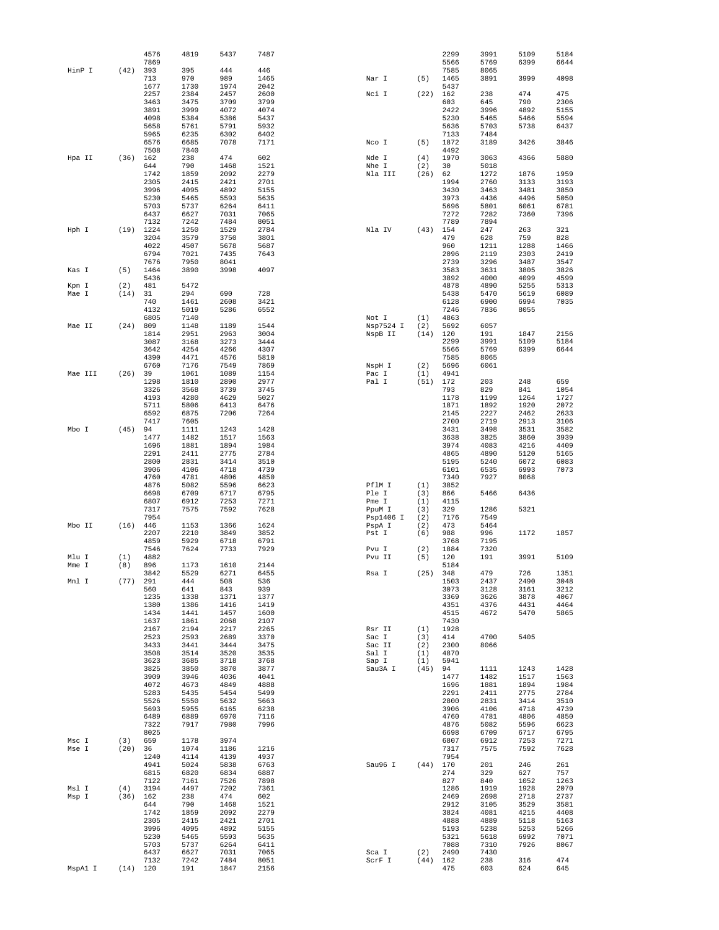|                |             | 4576<br>7869 | 4819         | 5437         | 7487         |                     |             | 2299<br>5566 | 3991<br>5769 | 5109<br>6399 | 5184<br>6644 |
|----------------|-------------|--------------|--------------|--------------|--------------|---------------------|-------------|--------------|--------------|--------------|--------------|
| HinP I         | (42)        | 393          | 395          | 444          | 446          |                     |             | 7585         | 8065         |              |              |
|                |             | 713          | 970          | 989          | 1465         | Nar I               | (5)         | 1465         | 3891         | 3999         | 4098         |
|                |             | 1677<br>2257 | 1730<br>2384 | 1974<br>2457 | 2042<br>2600 | Nci I               | (22)        | 5437<br>162  | 238          | 474          | 475          |
|                |             | 3463         | 3475         | 3709         | 3799         |                     |             | 603          | 645          | 790          | 2306         |
|                |             | 3891         | 3999         | 4072         | 4074         |                     |             | 2422         | 3996         | 4892         | 5155         |
|                |             | 4098         | 5384         | 5386         | 5437         |                     |             | 5230         | 5465         | 5466         | 5594         |
|                |             | 5658<br>5965 | 5761<br>6235 | 5791<br>6302 | 5932<br>6402 |                     |             | 5636<br>7133 | 5703<br>7484 | 5738         | 6437         |
|                |             | 6576         | 6685         | 7078         | 7171         | Nco I               | (5)         | 1872         | 3189         | 3426         | 3846         |
|                |             | 7508         | 7840         |              |              |                     |             | 4492         |              |              |              |
| Hpa II         | (36)        | 162<br>644   | 238<br>790   | 474<br>1468  | 602<br>1521  | Nde I<br>Nhe I      | (4)<br>(2)  | 1970<br>30   | 3063<br>5018 | 4366         | 5880         |
|                |             | 1742         | 1859         | 2092         | 2279         | Nla III             | (26)        | 62           | 1272         | 1876         | 1959         |
|                |             | 2305         | 2415         | 2421         | 2701         |                     |             | 1994         | 2760         | 3133         | 3193         |
|                |             | 3996         | 4095         | 4892         | 5155         |                     |             | 3430<br>3973 | 3463         | 3481<br>4496 | 3850         |
|                |             | 5230<br>5703 | 5465<br>5737 | 5593<br>6264 | 5635<br>6411 |                     |             | 5696         | 4436<br>5801 | 6061         | 5050<br>6781 |
|                |             | 6437         | 6627         | 7031         | 7065         |                     |             | 7272         | 7282         | 7360         | 7396         |
|                |             | 7132         | 7242         | 7484         | 8051         |                     |             | 7789         | 7894         |              |              |
| Hph I          | (19)        | 1224<br>3204 | 1250<br>3579 | 1529<br>3750 | 2784<br>3801 | Nla IV              | (43)        | 154<br>479   | 247<br>628   | 263<br>759   | 321<br>828   |
|                |             | 4022         | 4507         | 5678         | 5687         |                     |             | 960          | 1211         | 1288         | 1466         |
|                |             | 6794         | 7021         | 7435         | 7643         |                     |             | 2096         | 2119         | 2303         | 2419         |
|                | (5)         | 7676<br>1464 | 7950<br>3890 | 8041<br>3998 | 4097         |                     |             | 2739<br>3583 | 3296<br>3631 | 3487<br>3805 | 3547<br>3826 |
| Kas I          |             | 5436         |              |              |              |                     |             | 3892         | 4000         | 4099         | 4599         |
| Kpn I          | (2)         | 481          | 5472         |              |              |                     |             | 4878         | 4890         | 5255         | 5313         |
| Mae I          | (14)        | 31           | 294          | 690          | 728          |                     |             | 5438         | 5470         | 5619         | 6089         |
|                |             | 740<br>4132  | 1461<br>5019 | 2608<br>5286 | 3421<br>6552 |                     |             | 6128<br>7246 | 6900<br>7836 | 6994<br>8055 | 7035         |
|                |             | 6805         | 7140         |              |              | Not I               | (1)         | 4863         |              |              |              |
| Mae II         | (24)        | 809          | 1148         | 1189         | 1544         | Nsp7524 I           | (2)         | 5692         | 6057         |              |              |
|                |             | 1814<br>3087 | 2951<br>3168 | 2963<br>3273 | 3004<br>3444 | NspB II             | (14)        | 120<br>2299  | 191<br>3991  | 1847<br>5109 | 2156<br>5184 |
|                |             | 3642         | 4254         | 4266         | 4307         |                     |             | 5566         | 5769         | 6399         | 6644         |
|                |             | 4390         | 4471         | 4576         | 5810         |                     |             | 7585         | 8065         |              |              |
|                |             | 6760         | 7176         | 7549         | 7869         | NspH I              | (2)         | 5696         | 6061         |              |              |
| Mae III        | (26)        | 39<br>1298   | 1061<br>1810 | 1089<br>2890 | 1154<br>2977 | Pac I<br>Pal I      | (1)<br>(51) | 4941<br>172  | 203          | 248          | 659          |
|                |             | 3326         | 3568         | 3739         | 3745         |                     |             | 793          | 829          | 841          | 1054         |
|                |             | 4193         | 4280         | 4629         | 5027         |                     |             | 1178         | 1199         | 1264         | 1727         |
|                |             | 5711<br>6592 | 5806<br>6875 | 6413<br>7206 | 6476<br>7264 |                     |             | 1871<br>2145 | 1892<br>2227 | 1920<br>2462 | 2072<br>2633 |
|                |             | 7417         | 7605         |              |              |                     |             | 2700         | 2719         | 2913         | 3106         |
| Mbo I          | (45)        | 94           | 1111         | 1243         | 1428         |                     |             | 3431         | 3498         | 3531         | 3582         |
|                |             | 1477         | 1482         | 1517         | 1563         |                     |             | 3638         | 3825         | 3860         | 3939         |
|                |             | 1696<br>2291 | 1881<br>2411 | 1894<br>2775 | 1984<br>2784 |                     |             | 3974<br>4865 | 4083<br>4890 | 4216<br>5120 | 4409<br>5165 |
|                |             | 2800         | 2831         | 3414         | 3510         |                     |             | 5195         | 5240         | 6072         | 6083         |
|                |             | 3906         | 4106         | 4718         | 4739         |                     |             | 6101         | 6535         | 6993         | 7073         |
|                |             | 4760<br>4876 | 4781<br>5082 | 4806<br>5596 | 4850<br>6623 | PflM I              | (1)         | 7340<br>3852 | 7927         | 8068         |              |
|                |             | 6698         | 6709         | 6717         | 6795         | Ple I               | (3)         | 866          | 5466         | 6436         |              |
|                |             | 6807         | 6912         | 7253         | 7271         | Pme I               | (1)         | 4115         |              |              |              |
|                |             | 7317<br>7954 | 7575         | 7592         | 7628         | PpuM I              | (3)         | 329          | 1286<br>7549 | 5321         |              |
| Mbo II         | (16)        | 446          | 1153         | 1366         | 1624         | Psp1406 I<br>PspA I | (2)<br>(2)  | 7176<br>473  | 5464         |              |              |
|                |             | 2207         | 2210         | 3849         | 3852         | Pst I               | (6)         | 988          | 996          | 1172         | 1857         |
|                |             | 4859         | 5929         | 6718         | 6791         |                     |             | 3768         | 7195         |              |              |
| Mlu I          | (1)         | 7546<br>4882 | 7624         | 7733         | 7929         | Pvu I<br>Pvu II     | (2)<br>(5)  | 1884<br>120  | 7320<br>191  | 3991         | 5109         |
| Mme I          | (8)         | 896          | 1173         | 1610         | 2144         |                     |             | 5184         |              |              |              |
|                |             | 3842         | 5529         | 6271         | 6455         | Rsa I               | (25)        | 348          | 479          | 726          | 1351         |
| Mnl I          | (77)        | 291<br>560   | 444<br>641   | 508<br>843   | 536<br>939   |                     |             | 1503<br>3073 | 2437<br>3128 | 2490<br>3161 | 3048<br>3212 |
|                |             | 1235         | 1338         | 1371         | 1377         |                     |             | 3369         | 3626         | 3878         | 4067         |
|                |             | 1380         | 1386         | 1416         | 1419         |                     |             | 4351         | 4376         | 4431         | 4464         |
|                |             | 1434<br>1637 | 1441<br>1861 | 1457<br>2068 | 1600<br>2107 |                     |             | 4515<br>7430 | 4672         | 5470         | 5865         |
|                |             | 2167         | 2194         | 2217         | 2265         | $Rsr$ II            | (1)         | 1928         |              |              |              |
|                |             | 2523         | 2593         | 2689         | 3370         | Sac I               | (3)         | 414          | 4700         | 5405         |              |
|                |             | 3433         | 3441         | 3444         | 3475         | Sac II              | (2)         | 2300         | 8066         |              |              |
|                |             | 3508<br>3623 | 3514<br>3685 | 3520<br>3718 | 3535<br>3768 | Sal I<br>Sap I      | (1)<br>(1)  | 4870<br>5941 |              |              |              |
|                |             | 3825         | 3850         | 3870         | 3877         | Sau3A I             | (45)        | 94           | 1111         | 1243         | 1428         |
|                |             | 3909         | 3946         | 4036         | 4041         |                     |             | 1477         | 1482         | 1517         | 1563         |
|                |             | 4072<br>5283 | 4673<br>5435 | 4849<br>5454 | 4888<br>5499 |                     |             | 1696<br>2291 | 1881<br>2411 | 1894<br>2775 | 1984<br>2784 |
|                |             | 5526         | 5550         | 5632         | 5663         |                     |             | 2800         | 2831         | 3414         | 3510         |
|                |             | 5693         | 5955         | 6165         | 6238         |                     |             | 3906         | 4106         | 4718         | 4739         |
|                |             | 6489<br>7322 | 6889<br>7917 | 6970<br>7980 | 7116<br>7996 |                     |             | 4760<br>4876 | 4781<br>5082 | 4806<br>5596 | 4850<br>6623 |
|                |             | 8025         |              |              |              |                     |             | 6698         | 6709         | 6717         | 6795         |
| Msc I          | (3)         | 659          | 1178         | 3974         |              |                     |             | 6807         | 6912         | 7253         | 7271         |
| Mse I          | (20)        | 36           | 1074         | 1186         | 1216         |                     |             | 7317         | 7575         | 7592         | 7628         |
|                |             | 1240<br>4941 | 4114<br>5024 | 4139<br>5838 | 4937<br>6763 | Sau96 I             | (44)        | 7954<br>170  | 201          | 246          | 261          |
|                |             | 6815         | 6820         | 6834         | 6887         |                     |             | 274          | 329          | 627          | 757          |
|                |             | 7122         | 7161         | 7526         | 7898         |                     |             | 827          | 840          | 1052         | 1263         |
| Msl I<br>Msp I | (4)<br>(36) | 3194<br>162  | 4497<br>238  | 7202<br>474  | 7361<br>602  |                     |             | 1286<br>2469 | 1919<br>2698 | 1928<br>2718 | 2070<br>2737 |
|                |             | 644          | 790          | 1468         | 1521         |                     |             | 2912         | 3105         | 3529         | 3581         |
|                |             | 1742         | 1859         | 2092         | 2279         |                     |             | 3824         | 4081         | 4215         | 4408         |
|                |             | 2305<br>3996 | 2415<br>4095 | 2421<br>4892 | 2701<br>5155 |                     |             | 4888<br>5193 | 4889<br>5238 | 5118<br>5253 | 5163<br>5266 |
|                |             | 5230         | 5465         | 5593         | 5635         |                     |             | 5321         | 5618         | 6992         | 7071         |
|                |             | 5703         | 5737         | 6264         | 6411         |                     |             | 7088         | 7310         | 7926         | 8067         |
|                |             | 6437         | 6627         | 7031         | 7065         | Sca I               | (2)         | 2490         | 7430         |              |              |
| MspA1 I        | (14)        | 7132<br>120  | 7242<br>191  | 7484<br>1847 | 8051<br>2156 | ScrF I              | (44)        | 162<br>475   | 238<br>603   | 316<br>624   | 474<br>645   |
|                |             |              |              |              |              |                     |             |              |              |              |              |